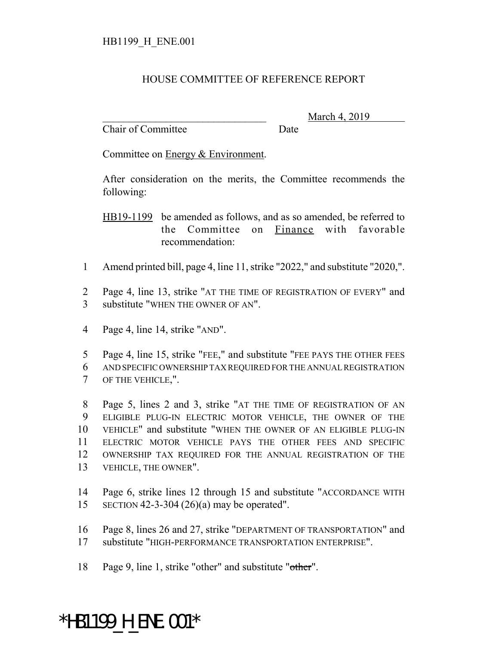## HOUSE COMMITTEE OF REFERENCE REPORT

Chair of Committee Date

March 4, 2019

Committee on Energy & Environment.

After consideration on the merits, the Committee recommends the following:

HB19-1199 be amended as follows, and as so amended, be referred to the Committee on Finance with favorable recommendation:

- Amend printed bill, page 4, line 11, strike "2022," and substitute "2020,".
- Page 4, line 13, strike "AT THE TIME OF REGISTRATION OF EVERY" and substitute "WHEN THE OWNER OF AN".
- Page 4, line 14, strike "AND".
- Page 4, line 15, strike "FEE," and substitute "FEE PAYS THE OTHER FEES AND SPECIFIC OWNERSHIP TAX REQUIRED FOR THE ANNUAL REGISTRATION OF THE VEHICLE,".

 Page 5, lines 2 and 3, strike "AT THE TIME OF REGISTRATION OF AN ELIGIBLE PLUG-IN ELECTRIC MOTOR VEHICLE, THE OWNER OF THE VEHICLE" and substitute "WHEN THE OWNER OF AN ELIGIBLE PLUG-IN ELECTRIC MOTOR VEHICLE PAYS THE OTHER FEES AND SPECIFIC OWNERSHIP TAX REQUIRED FOR THE ANNUAL REGISTRATION OF THE VEHICLE, THE OWNER".

- Page 6, strike lines 12 through 15 and substitute "ACCORDANCE WITH SECTION 42-3-304 (26)(a) may be operated".
- Page 8, lines 26 and 27, strike "DEPARTMENT OF TRANSPORTATION" and substitute "HIGH-PERFORMANCE TRANSPORTATION ENTERPRISE".
- Page 9, line 1, strike "other" and substitute "other".

## \*HB1199\_H\_ENE.001\*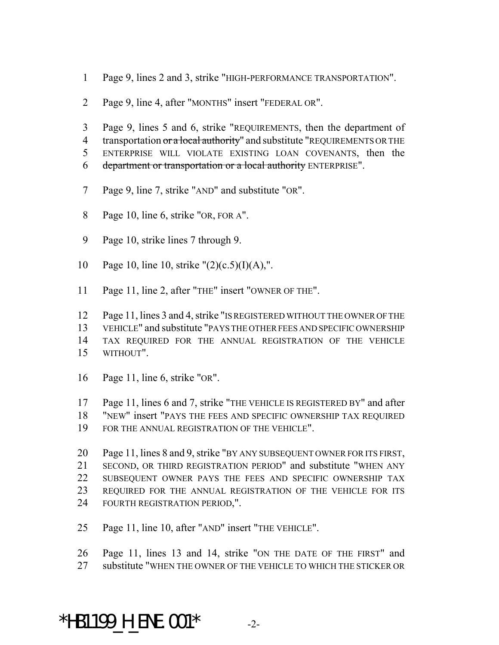- Page 9, lines 2 and 3, strike "HIGH-PERFORMANCE TRANSPORTATION".
- Page 9, line 4, after "MONTHS" insert "FEDERAL OR".
- Page 9, lines 5 and 6, strike "REQUIREMENTS, then the department of 4 transportation or a local authority" and substitute "REQUIREMENTS OR THE ENTERPRISE WILL VIOLATE EXISTING LOAN COVENANTS, then the department or transportation or a local authority ENTERPRISE".
- Page 9, line 7, strike "AND" and substitute "OR".
- Page 10, line 6, strike "OR, FOR A".
- Page 10, strike lines 7 through 9.
- 10 Page 10, line 10, strike " $(2)(c.5)(I)(A)$ ,".
- 11 Page 11, line 2, after "THE" insert "OWNER OF THE".

 Page 11, lines 3 and 4, strike "IS REGISTERED WITHOUT THE OWNER OF THE VEHICLE" and substitute "PAYS THE OTHER FEES AND SPECIFIC OWNERSHIP TAX REQUIRED FOR THE ANNUAL REGISTRATION OF THE VEHICLE WITHOUT".

- Page 11, line 6, strike "OR".
- Page 11, lines 6 and 7, strike "THE VEHICLE IS REGISTERED BY" and after
- "NEW" insert "PAYS THE FEES AND SPECIFIC OWNERSHIP TAX REQUIRED
- FOR THE ANNUAL REGISTRATION OF THE VEHICLE".

 Page 11, lines 8 and 9, strike "BY ANY SUBSEQUENT OWNER FOR ITS FIRST, SECOND, OR THIRD REGISTRATION PERIOD" and substitute "WHEN ANY SUBSEQUENT OWNER PAYS THE FEES AND SPECIFIC OWNERSHIP TAX REQUIRED FOR THE ANNUAL REGISTRATION OF THE VEHICLE FOR ITS FOURTH REGISTRATION PERIOD,".

Page 11, line 10, after "AND" insert "THE VEHICLE".

 Page 11, lines 13 and 14, strike "ON THE DATE OF THE FIRST" and 27 substitute "WHEN THE OWNER OF THE VEHICLE TO WHICH THE STICKER OR

\*HB1199 H ENE.001\*  $-2$ -